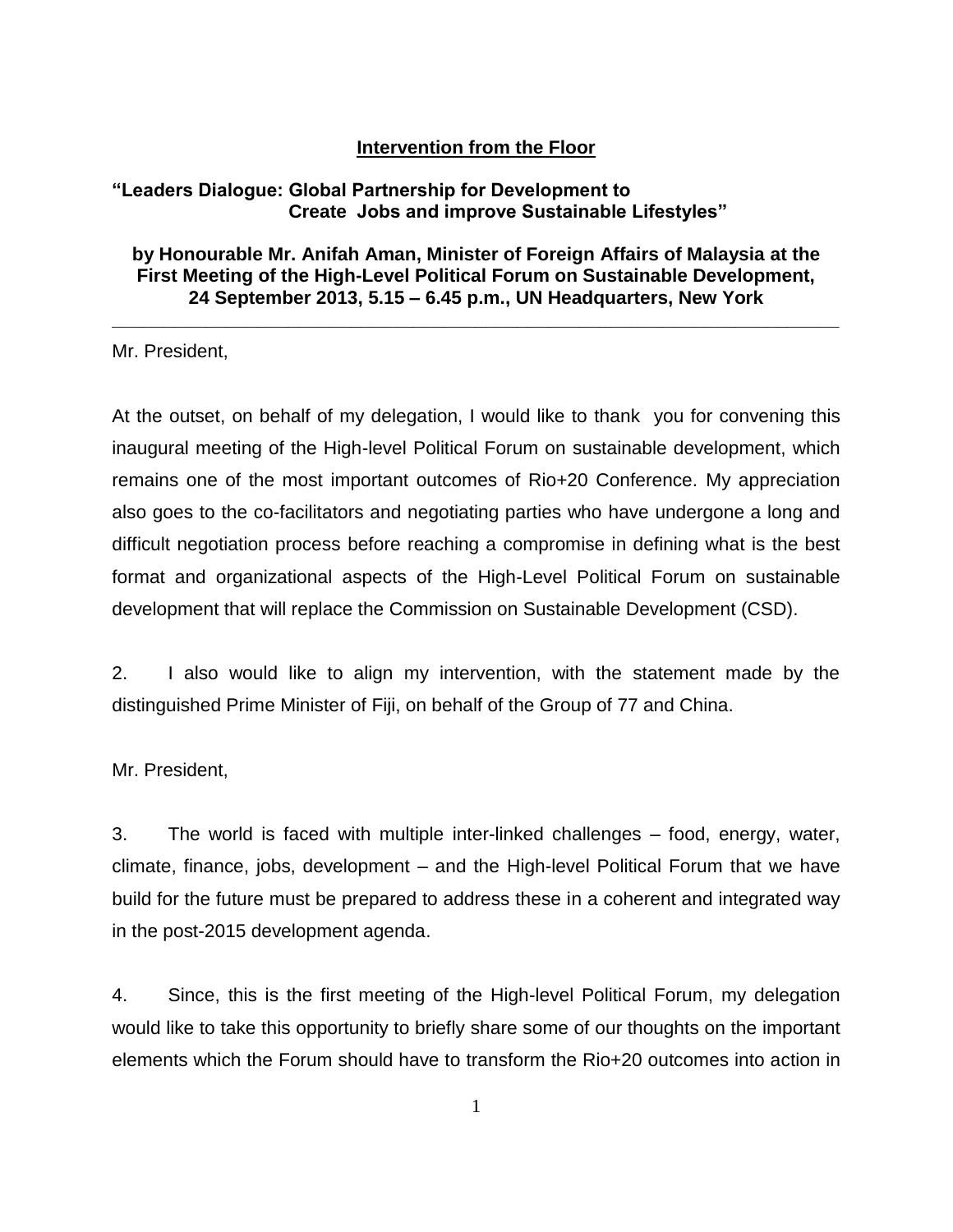## **Intervention from the Floor**

## **"Leaders Dialogue: Global Partnership for Development to Create Jobs and improve Sustainable Lifestyles"**

**by Honourable Mr. Anifah Aman, Minister of Foreign Affairs of Malaysia at the First Meeting of the High-Level Political Forum on Sustainable Development, 24 September 2013, 5.15 – 6.45 p.m., UN Headquarters, New York**

**\_\_\_\_\_\_\_\_\_\_\_\_\_\_\_\_\_\_\_\_\_\_\_\_\_\_\_\_\_\_\_\_\_\_\_\_\_\_\_\_\_\_\_\_\_\_\_\_\_\_\_\_\_\_\_\_\_\_\_\_\_\_\_\_\_\_\_\_\_\_**

Mr. President,

At the outset, on behalf of my delegation, I would like to thank you for convening this inaugural meeting of the High-level Political Forum on sustainable development, which remains one of the most important outcomes of Rio+20 Conference. My appreciation also goes to the co-facilitators and negotiating parties who have undergone a long and difficult negotiation process before reaching a compromise in defining what is the best format and organizational aspects of the High-Level Political Forum on sustainable development that will replace the Commission on Sustainable Development (CSD).

2. I also would like to align my intervention, with the statement made by the distinguished Prime Minister of Fiji, on behalf of the Group of 77 and China.

Mr. President,

3. The world is faced with multiple inter-linked challenges – food, energy, water, climate, finance, jobs, development – and the High-level Political Forum that we have build for the future must be prepared to address these in a coherent and integrated way in the post-2015 development agenda.

4. Since, this is the first meeting of the High-level Political Forum, my delegation would like to take this opportunity to briefly share some of our thoughts on the important elements which the Forum should have to transform the Rio+20 outcomes into action in

1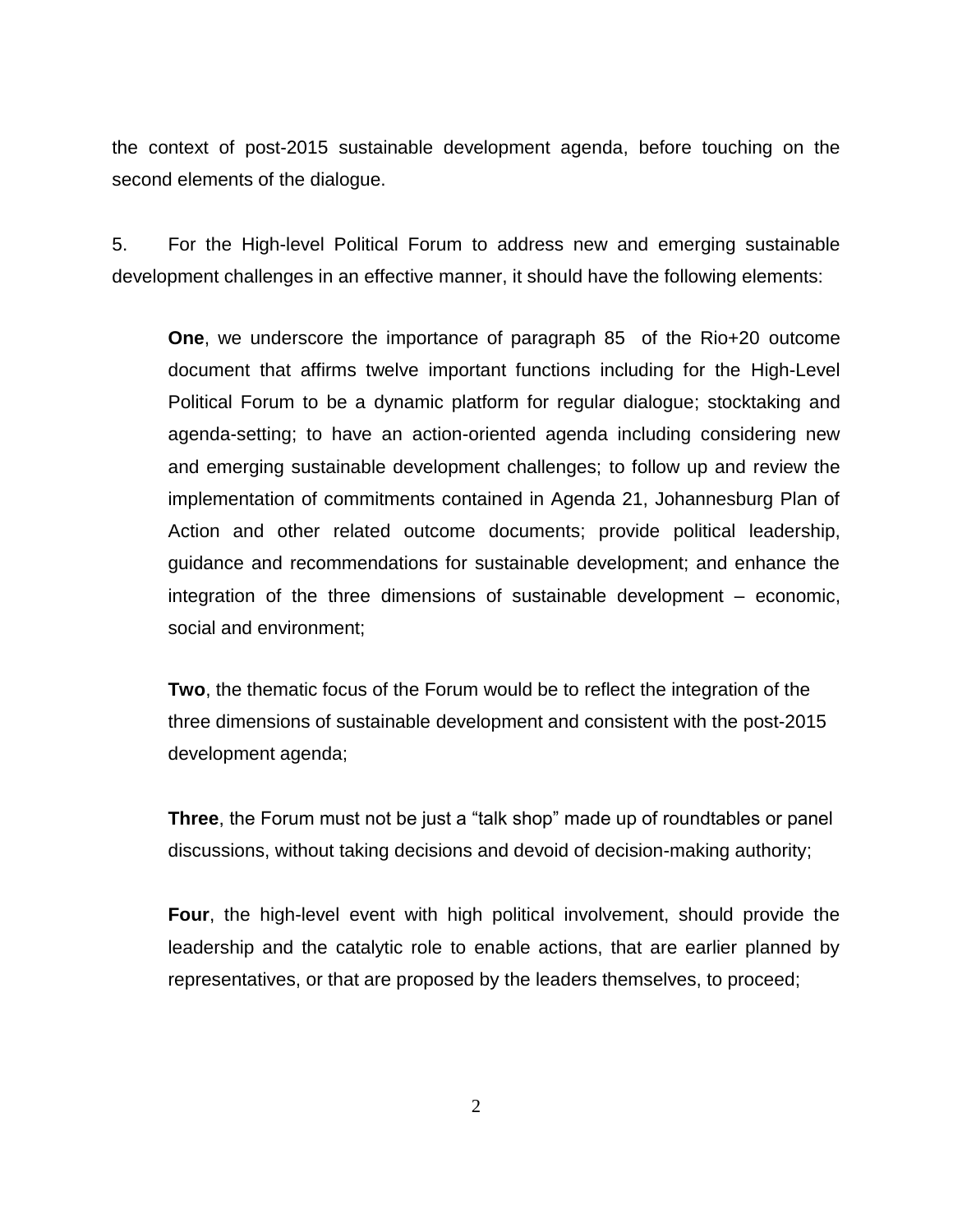the context of post-2015 sustainable development agenda, before touching on the second elements of the dialogue.

5. For the High-level Political Forum to address new and emerging sustainable development challenges in an effective manner, it should have the following elements:

**One**, we underscore the importance of paragraph 85 of the Rio+20 outcome document that affirms twelve important functions including for the High-Level Political Forum to be a dynamic platform for regular dialogue; stocktaking and agenda-setting; to have an action-oriented agenda including considering new and emerging sustainable development challenges; to follow up and review the implementation of commitments contained in Agenda 21, Johannesburg Plan of Action and other related outcome documents; provide political leadership, guidance and recommendations for sustainable development; and enhance the integration of the three dimensions of sustainable development – economic, social and environment;

**Two**, the thematic focus of the Forum would be to reflect the integration of the three dimensions of sustainable development and consistent with the post-2015 development agenda;

**Three**, the Forum must not be just a "talk shop" made up of roundtables or panel discussions, without taking decisions and devoid of decision-making authority;

**Four**, the high-level event with high political involvement, should provide the leadership and the catalytic role to enable actions, that are earlier planned by representatives, or that are proposed by the leaders themselves, to proceed;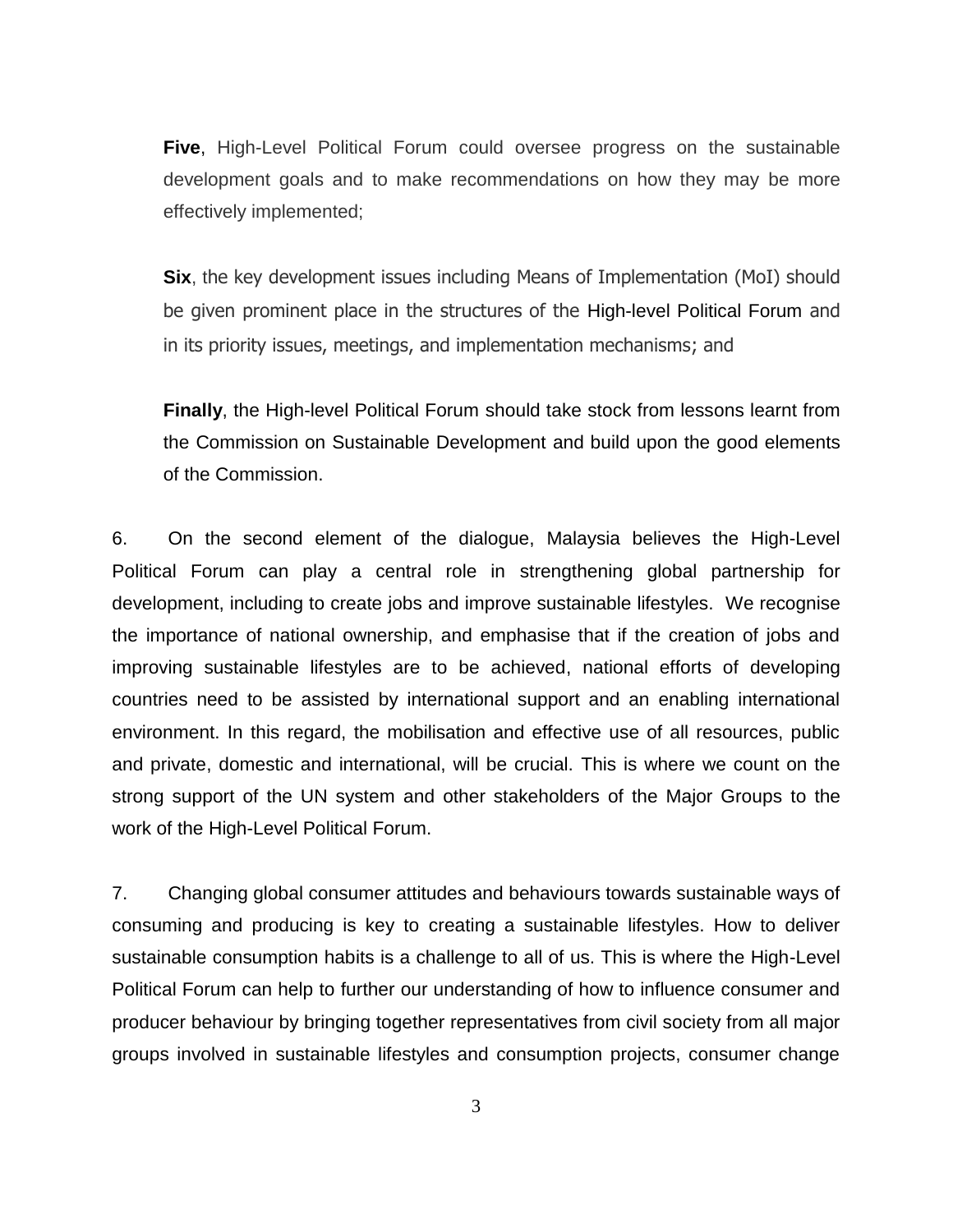**Five**, High-Level Political Forum could oversee progress on the sustainable development goals and to make recommendations on how they may be more effectively implemented;

**Six**, the key development issues including Means of Implementation (MoI) should be given prominent place in the structures of the High-level Political Forum and in its priority issues, meetings, and implementation mechanisms; and

**Finally**, the High-level Political Forum should take stock from lessons learnt from the Commission on Sustainable Development and build upon the good elements of the Commission.

6. On the second element of the dialogue, Malaysia believes the High-Level Political Forum can play a central role in strengthening global partnership for development, including to create jobs and improve sustainable lifestyles. We recognise the importance of national ownership, and emphasise that if the creation of jobs and improving sustainable lifestyles are to be achieved, national efforts of developing countries need to be assisted by international support and an enabling international environment. In this regard, the mobilisation and effective use of all resources, public and private, domestic and international, will be crucial. This is where we count on the strong support of the UN system and other stakeholders of the Major Groups to the work of the High-Level Political Forum.

7. Changing global consumer attitudes and behaviours towards sustainable ways of consuming and producing is key to creating a sustainable lifestyles. How to deliver sustainable consumption habits is a challenge to all of us. This is where the High-Level Political Forum can help to further our understanding of how to influence consumer and producer behaviour by bringing together representatives from civil society from all major groups involved in sustainable lifestyles and consumption projects, consumer change